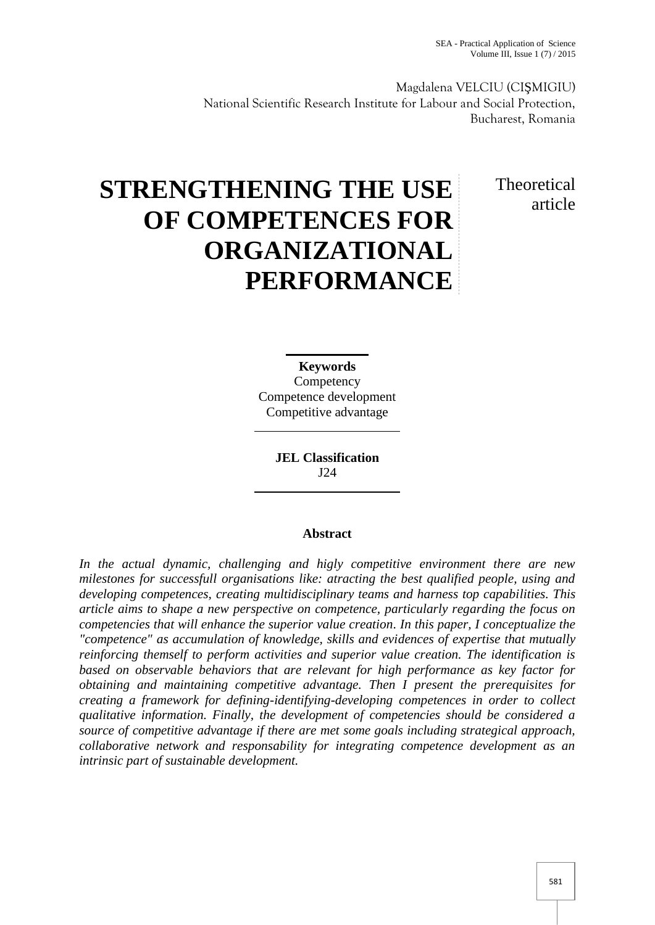Magdalena VELCIU (CI MIGIU) National Scientific Research Institute for Labour and Social Protection, Bucharest, Romania

> Theoretical article

# **STRENGTHENING THE USE OF COMPETENCES FOR ORGANIZATIONAL PERFORMANCE**

**Keywords Competency** Competence development Competitive advantage

> **JEL Classification** J24

## **Abstract**

*In the actual dynamic, challenging and higly competitive environment there are new milestones for successfull organisations like: atracting the best qualified people, using and developing competences, creating multidisciplinary teams and harness top capabilities. This article aims to shape a new perspective on competence, particularly regarding the focus on competencies that will enhance the superior value creation. In this paper, I conceptualize the "competence" as accumulation of knowledge, skills and evidences of expertise that mutually reinforcing themself to perform activities and superior value creation. The identification is based on observable behaviors that are relevant for high performance as key factor for obtaining and maintaining competitive advantage. Then I present the prerequisites for creating a framework for defining-identifying-developing competences in order to collect qualitative information. Finally, the development of competencies should be considered a source of competitive advantage if there are met some goals including strategical approach, collaborative network and responsability for integrating competence development as an intrinsic part of sustainable development.*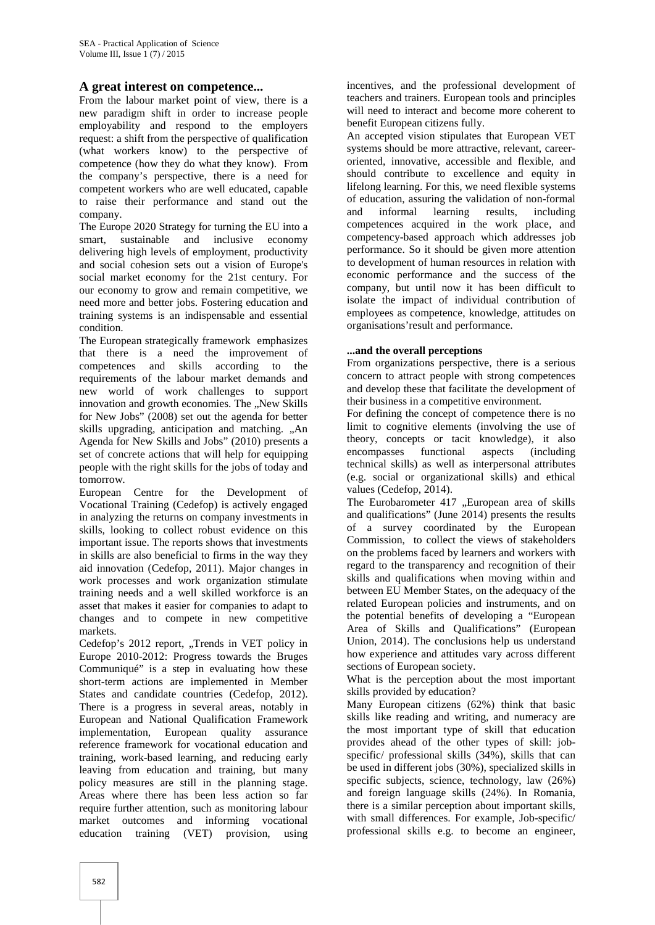## **A great interest on competence...**

From the labour market point of view, there is a new paradigm shift in order to increase people employability and respond to the employers request: a shift from the perspective of qualification (what workers know) to the perspective of competence (how they do what they know). From the company's perspective, there is a need for competent workers who are well educated, capable to raise their performance and stand out the company.

The Europe 2020 Strategy for turning the EU into a smart, sustainable and inclusive economy delivering high levels of employment, productivity and social cohesion sets out a vision of Europe's social market economy for the 21st century. For our economy to grow and remain competitive, we need more and better jobs. Fostering education and training systems is an indispensable and essential condition.

The European strategically framework emphasizes that there is a need the improvement of competences and skills according to the requirements of the labour market demands and new world of work challenges to support innovation and growth economies. The ..New Skills for New Jobs" (2008) set out the agenda for better skills upgrading, anticipation and matching. "An Agenda for New Skills and Jobs" (2010) presents a set of concrete actions that will help for equipping people with the right skills for the jobs of today and tomorrow.

European Centre for the Development of Vocational Training (Cedefop) is actively engaged in analyzing the returns on company investments in skills, looking to collect robust evidence on this important issue. The reports shows that investments in skills are also beneficial to firms in the way they aid innovation (Cedefop, 2011). Major changes in work processes and work organization stimulate training needs and a well skilled workforce is an asset that makes it easier for companies to adapt to changes and to compete in new competitive markets.

Cedefop's 2012 report, "Trends in VET policy in Europe 2010-2012: Progress towards the Bruges Communiqué" is a step in evaluating how these short-term actions are implemented in Member States and candidate countries (Cedefop, 2012). There is a progress in several areas, notably in European and National Qualification Framework implementation, European quality assurance reference framework for vocational education and training, work-based learning, and reducing early leaving from education and training, but many policy measures are still in the planning stage. Areas where there has been less action so far require further attention, such as monitoring labour market outcomes and informing vocational education training (VET) provision, using

incentives, and the professional development of teachers and trainers. European tools and principles will need to interact and become more coherent to benefit European citizens fully.

An accepted vision stipulates that European VET systems should be more attractive, relevant, career oriented, innovative, accessible and flexible, and should contribute to excellence and equity in lifelong learning. For this, we need flexible systems of education, assuring the validation of non-formal and informal learning results, including competences acquired in the work place, and competency-based approach which addresses job performance. So it should be given more attention to development of human resources in relation with economic performance and the success of the company, but until now it has been difficult to isolate the impact of individual contribution of employees as competence, knowledge, attitudes on organisations'result and performance.

#### **...and the overall perceptions**

From organizations perspective, there is a serious concern to attract people with strong competences and develop these that facilitate the development of their business in a competitive environment.

For defining the concept of competence there is no limit to cognitive elements (involving the use of theory, concepts or tacit knowledge), it also encompasses functional aspects (including technical skills) as well as interpersonal attributes (e.g. social or organizational skills) and ethical values (Cedefop, 2014).

The Eurobarometer 417 "European area of skills and qualifications" (June 2014) presents the results of a survey coordinated by the European Commission, to collect the views of stakeholders on the problems faced by learners and workers with regard to the transparency and recognition of their skills and qualifications when moving within and between EU Member States, on the adequacy of the related European policies and instruments, and on the potential benefits of developing a "European Area of Skills and Qualifications" (European Union, 2014). The conclusions help us understand how experience and attitudes vary across different sections of European society.

What is the perception about the most important skills provided by education?

Many European citizens (62%) think that basic skills like reading and writing, and numeracy are the most important type of skill that education provides ahead of the other types of skill: job specific/ professional skills (34%), skills that can be used in different jobs (30%), specialized skills in specific subjects, science, technology, law (26%) and foreign language skills (24%). In Romania, there is a similar perception about important skills, with small differences. For example, Job-specific/ professional skills e.g. to become an engineer,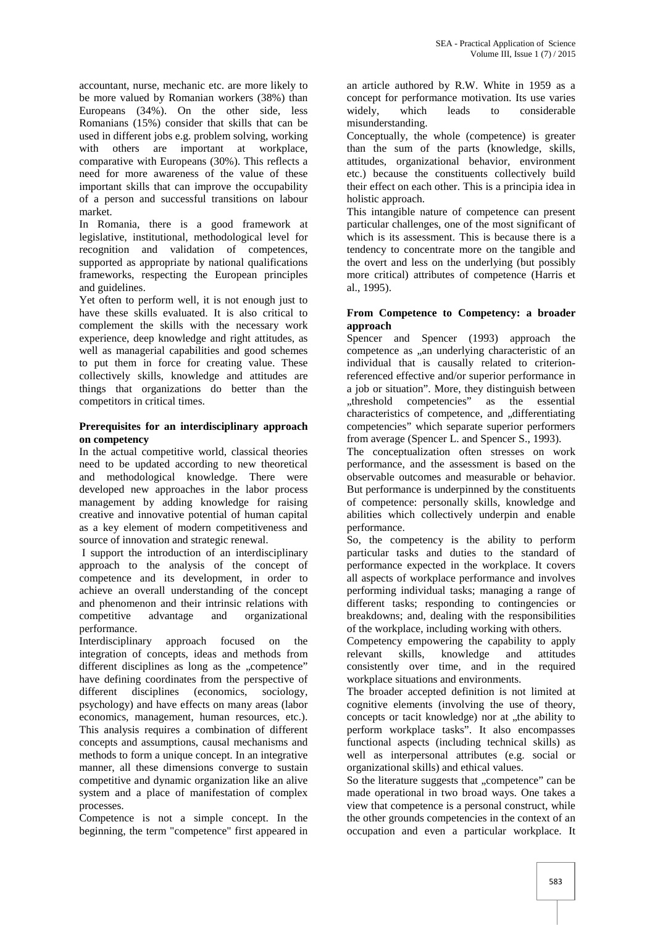accountant, nurse, mechanic etc. are more likely to be more valued by Romanian workers (38%) than Europeans (34%). On the other side, less Romanians (15%) consider that skills that can be used in different jobs e.g. problem solving, working with others are important at workplace, comparative with Europeans (30%). This reflects a need for more awareness of the value of these important skills that can improve the occupability of a person and successful transitions on labour market.

In Romania, there is a good framework at legislative, institutional, methodological level for recognition and validation of competences, supported as appropriate by national qualifications frameworks, respecting the European principles and guidelines.

Yet often to perform well, it is not enough just to have these skills evaluated. It is also critical to complement the skills with the necessary work experience, deep knowledge and right attitudes, as well as managerial capabilities and good schemes to put them in force for creating value. These collectively skills, knowledge and attitudes are things that organizations do better than the competitors in critical times.

### **Prerequisites for an interdisciplinary approach on competency**

In the actual competitive world, classical theories need to be updated according to new theoretical and methodological knowledge. There were developed new approaches in the labor process management by adding knowledge for raising creative and innovative potential of human capital as a key element of modern competitiveness and source of innovation and strategic renewal.

I support the introduction of an interdisciplinary approach to the analysis of the concept of competence and its development, in order to achieve an overall understanding of the concept and phenomenon and their intrinsic relations with competitive advantage and organizational performance.

Interdisciplinary approach focused on the integration of concepts, ideas and methods from different disciplines as long as the "competence" have defining coordinates from the perspective of different disciplines (economics, sociology, psychology) and have effects on many areas (labor economics, management, human resources, etc.). This analysis requires a combination of different concepts and assumptions, causal mechanisms and methods to form a unique concept. In an integrative manner, all these dimensions converge to sustain competitive and dynamic organization like an alive system and a place of manifestation of complex processes.

Competence is not a simple concept. In the beginning, the term "competence" first appeared in

an article authored by R.W. White in 1959 as a concept for performance motivation. Its use varies widely, which leads to considerable misunderstanding.

Conceptually, the whole (competence) is greater than the sum of the parts (knowledge, skills, attitudes, organizational behavior, environment etc.) because the constituents collectively build their effect on each other. This is a principia idea in holistic approach.

This intangible nature of competence can present particular challenges, one of the most significant of which is its assessment. This is because there is a tendency to concentrate more on the tangible and the overt and less on the underlying (but possibly more critical) attributes of competence (Harris et al., 1995).

## **From Competence to Competency: a broader approach**

Spencer and Spencer (1993) approach the competence as "an underlying characteristic of an individual that is causally related to criterionreferenced effective and/or superior performance in a job or situation". More, they distinguish between<br>
,,threshold competencies" as the essential competencies" as the essential characteristics of competence, and "differentiating competencies" which separate superior performers from average (Spencer L. and Spencer S., 1993).

The conceptualization often stresses on work performance, and the assessment is based on the observable outcomes and measurable or behavior. But performance is underpinned by the constituents of competence: personally skills, knowledge and abilities which collectively underpin and enable performance.

So, the competency is the ability to perform particular tasks and duties to the standard of performance expected in the workplace. It covers all aspects of workplace performance and involves performing individual tasks; managing a range of different tasks; responding to contingencies or breakdowns; and, dealing with the responsibilities of the workplace, including working with others.

Competency empowering the capability to apply skills, knowledge and attitudes consistently over time, and in the required workplace situations and environments.

The broader accepted definition is not limited at cognitive elements (involving the use of theory, concepts or tacit knowledge) nor at "the ability to perform workplace tasks". It also encompasses functional aspects (including technical skills) as well as interpersonal attributes (e.g. social or organizational skills) and ethical values.

So the literature suggests that "competence" can be made operational in two broad ways. One takes a view that competence is a personal construct, while the other grounds competencies in the context of an occupation and even a particular workplace. It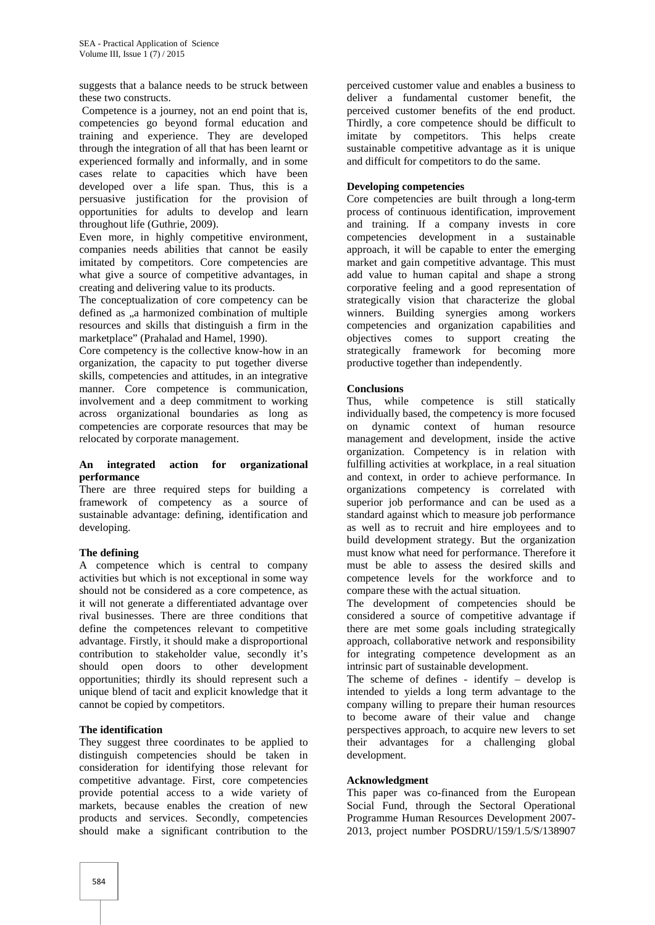suggests that a balance needs to be struck between these two constructs.

Competence is a journey, not an end point that is, competencies go beyond formal education and training and experience. They are developed through the integration of all that has been learnt or experienced formally and informally, and in some cases relate to capacities which have been developed over a life span. Thus, this is a persuasive justification for the provision of opportunities for adults to develop and learn throughout life (Guthrie, 2009).

Even more, in highly competitive environment, companies needs abilities that cannot be easily imitated by competitors. Core competencies are what give a source of competitive advantages, in creating and delivering value to its products.

The conceptualization of core competency can be defined as "a harmonized combination of multiple resources and skills that distinguish a firm in the marketplace" (Prahalad and Hamel, 1990).

Core competency is the collective know-how in an organization, the capacity to put together diverse skills, competencies and attitudes, in an integrative manner. Core competence is communication, involvement and a deep commitment to working across organizational boundaries as long as competencies are corporate resources that may be relocated by corporate management.

#### **An integrated action for organizational performance**

There are three required steps for building a framework of competency as a source of sustainable advantage: defining, identification and developing.

#### **The defining**

A competence which is central to company activities but which is not exceptional in some way should not be considered as a core competence, as it will not generate a differentiated advantage over rival businesses. There are three conditions that define the competences relevant to competitive advantage. Firstly, it should make a disproportional contribution to stakeholder value, secondly it's should open doors to other development opportunities; thirdly its should represent such a unique blend of tacit and explicit knowledge that it cannot be copied by competitors.

#### **The identification**

They suggest three coordinates to be applied to distinguish competencies should be taken in consideration for identifying those relevant for competitive advantage. First, core competencies provide potential access to a wide variety of markets, because enables the creation of new products and services. Secondly, competencies should make a significant contribution to the

perceived customer value and enables a business to deliver a fundamental customer benefit, the perceived customer benefits of the end product. Thirdly, a core competence should be difficult to imitate by competitors. This helps create sustainable competitive advantage as it is unique and difficult for competitors to do the same.

#### **Developing competencies**

Core competencies are built through a long-term process of continuous identification, improvement and training. If a company invests in core competencies development in a sustainable approach, it will be capable to enter the emerging market and gain competitive advantage. This must add value to human capital and shape a strong corporative feeling and a good representation of strategically vision that characterize the global winners. Building synergies among workers competencies and organization capabilities and objectives comes to support creating the strategically framework for becoming more productive together than independently.

#### **Conclusions**

Thus, while competence is still statically individually based, the competency is more focused on dynamic context of human resource management and development, inside the active organization. Competency is in relation with fulfilling activities at workplace, in a real situation and context, in order to achieve performance. In organizations competency is correlated with superior job performance and can be used as a standard against which to measure job performance as well as to recruit and hire employees and to build development strategy. But the organization must know what need for performance. Therefore it must be able to assess the desired skills and competence levels for the workforce and to compare these with the actual situation.

The development of competencies should be considered a source of competitive advantage if there are met some goals including strategically approach, collaborative network and responsibility for integrating competence development as an intrinsic part of sustainable development.

The scheme of defines - identify – develop is intended to yields a long term advantage to the company willing to prepare their human resources to become aware of their value and change perspectives approach, to acquire new levers to set their advantages for a challenging global development.

#### **Acknowledgment**

This paper was co-financed from the European Social Fund, through the Sectoral Operational Programme Human Resources Development 2007- 2013, project number POSDRU/159/1.5/S/138907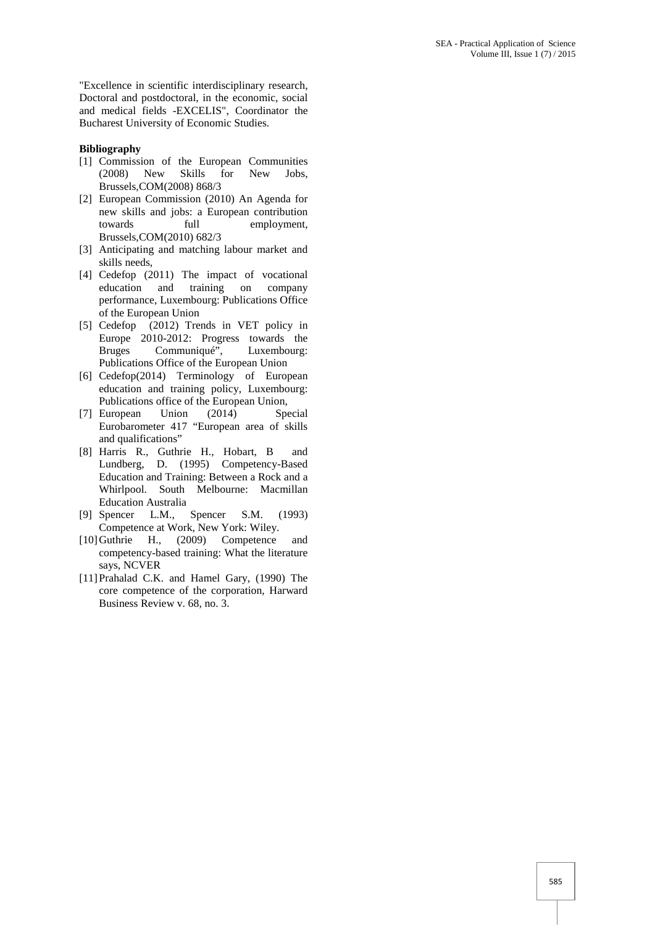"Excellence in scientific interdisciplinary research, Doctoral and postdoctoral, in the economic, social and medical fields -EXCELIS", Coordinator the Bucharest University of Economic Studies.

#### **Bibliography**

- [1] Commission of the European Communities<br>(2008) New Skills for New Jobs. (2008) New Skills for New Jobs, Brussels,COM(2008) 868/3
- [2] European Commission (2010) An Agenda for new skills and jobs: a European contribution towards full employment, Brussels,COM(2010) 682/3
- [3] Anticipating and matching labour market and skills needs,
- [4] Cedefop (2011) The impact of vocational education and training on company performance, Luxembourg: Publications Office of the European Union
- [5] Cedefop (2012) Trends in VET policy in Europe 2010-2012: Progress towards the Bruges Communiqué", Luxembourg: Publications Office of the European Union
- [6] Cedefop(2014) Terminology of European education and training policy, Luxembourg: Publications office of the European Union,<br>European Union (2014) Sp
- [7] European Union (2014) Special Eurobarometer 417 "European area of skills and qualifications"
- [8] Harris R., Guthrie H., Hobart, B and Lundberg, D. (1995) Competency-Based Education and Training: Between a Rock and a Whirlpool. South Melbourne: Macmillan Education Australia
- [9] Spencer L.M., Spencer S.M. (1993) Competence at Work, New York: Wiley.
- [10]Guthrie H., (2009) Competence and competency-based training: What the literature says, NCVER
- [11]Prahalad C.K. and Hamel Gary, (1990) The core competence of the corporation, Harward Business Review v. 68, no. 3.